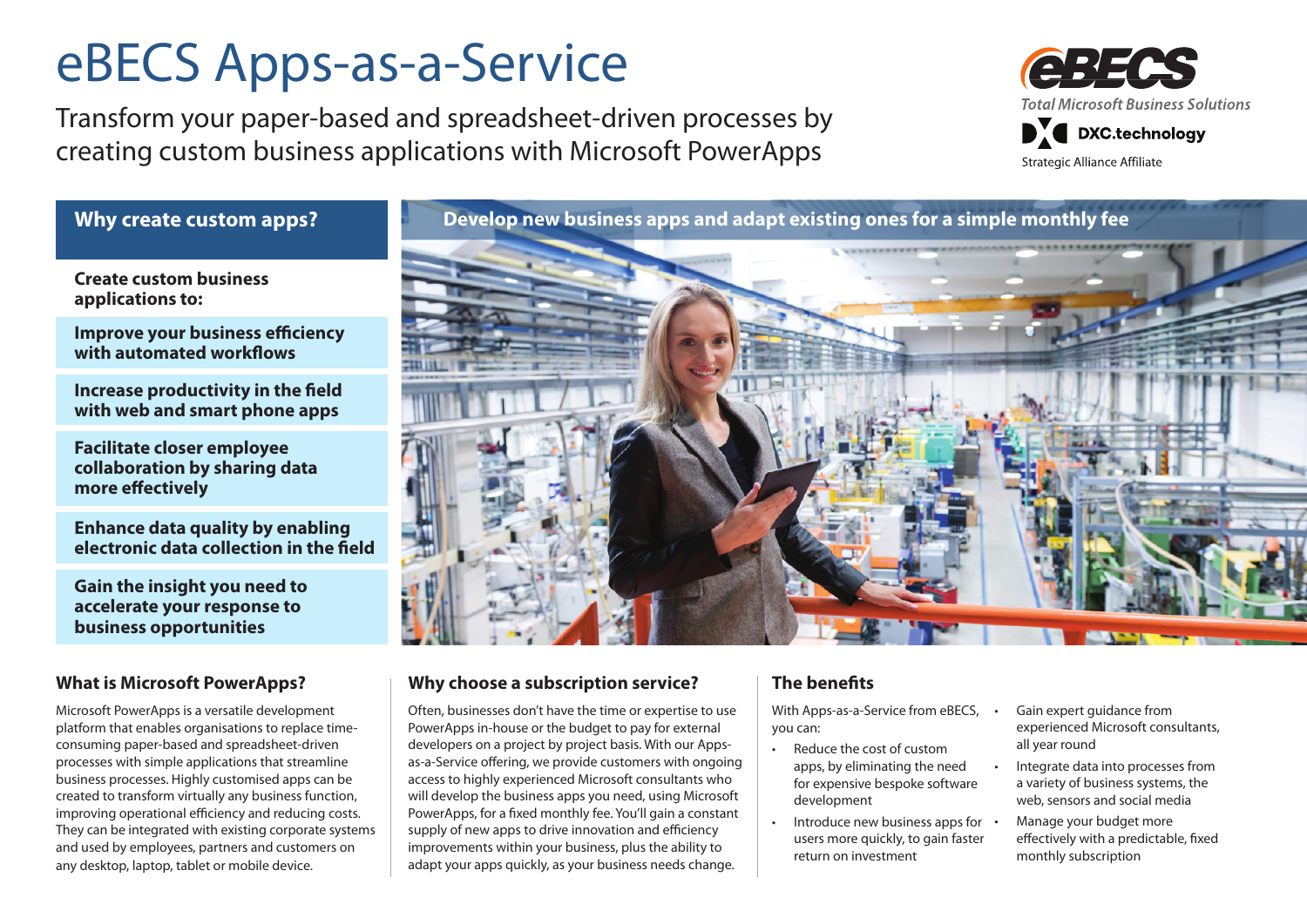## eBECS Apps-as-a-Service

Transform your paper-based and spreadsheet-driven processes by creating custom business applications with Microsoft PowerApps



**Create custom business applications to:**

**Improve your business efficiency with automated workflows**

**Increase productivity in the field with web and smart phone apps**

**Facilitate closer employee collaboration by sharing data more effectively**

**Enhance data quality by enabling electronic data collection in the field**

**Gain the insight you need to accelerate your response to business opportunities**

#### **What is Microsoft PowerApps?**

Microsoft PowerApps is a versatile development platform that enables organisations to replace timeconsuming paper-based and spreadsheet-driven processes with simple applications that streamline business processes. Highly customised apps can be created to transform virtually any business function, improving operational efficiency and reducing costs. They can be integrated with existing corporate systems and used by employees, partners and customers on any desktop, laptop, tablet or mobile device.

### **Why create custom apps? Develop new business apps and adapt existing ones for a simple monthly fee**



#### **Why choose a subscription service?**

Often, businesses don't have the time or expertise to use PowerApps in-house or the budget to pay for external developers on a project by project basis. With our Appsas-a-Service offering, we provide customers with ongoing access to highly experienced Microsoft consultants who will develop the business apps you need, using Microsoft PowerApps, for a fixed monthly fee. You'll gain a constant supply of new apps to drive innovation and efficiency improvements within your business, plus the ability to adapt your apps quickly, as your business needs change.

#### **The benefits**

With Apps-as-a-Service from eBECS, . you can:

- Reduce the cost of custom apps, by eliminating the need for expensive bespoke software development
- • Introduce new business apps for users more quickly, to gain faster return on investment
- Gain expert quidance from experienced Microsoft consultants, all year round
- Integrate data into processes from a variety of business systems, the web, sensors and social media
- Manage your budget more effectively with a predictable, fixed monthly subscription